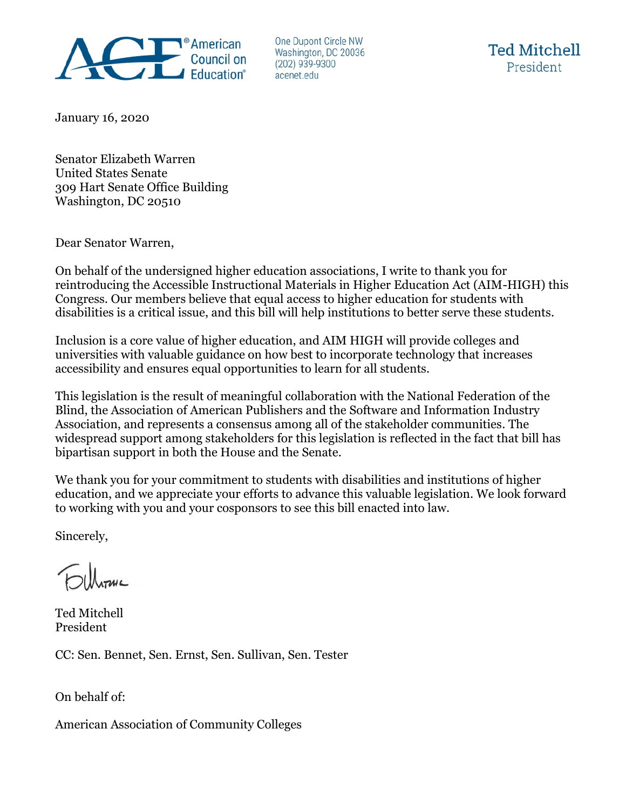

One Dupont Circle NW Washington, DC 20036  $(202)$  939-9300 acenet.edu



January 16, 2020

Senator Elizabeth Warren United States Senate 309 Hart Senate Office Building Washington, DC 20510

Dear Senator Warren,

On behalf of the undersigned higher education associations, I write to thank you for reintroducing the Accessible Instructional Materials in Higher Education Act (AIM-HIGH) this Congress. Our members believe that equal access to higher education for students with disabilities is a critical issue, and this bill will help institutions to better serve these students.

Inclusion is a core value of higher education, and AIM HIGH will provide colleges and universities with valuable guidance on how best to incorporate technology that increases accessibility and ensures equal opportunities to learn for all students.

This legislation is the result of meaningful collaboration with the National Federation of the Blind, the Association of American Publishers and the Software and Information Industry Association, and represents a consensus among all of the stakeholder communities. The widespread support among stakeholders for this legislation is reflected in the fact that bill has bipartisan support in both the House and the Senate.

We thank you for your commitment to students with disabilities and institutions of higher education, and we appreciate your efforts to advance this valuable legislation. We look forward to working with you and your cosponsors to see this bill enacted into law.

Sincerely,

Ted Mitchell President

CC: Sen. Bennet, Sen. Ernst, Sen. Sullivan, Sen. Tester

On behalf of:

American Association of Community Colleges